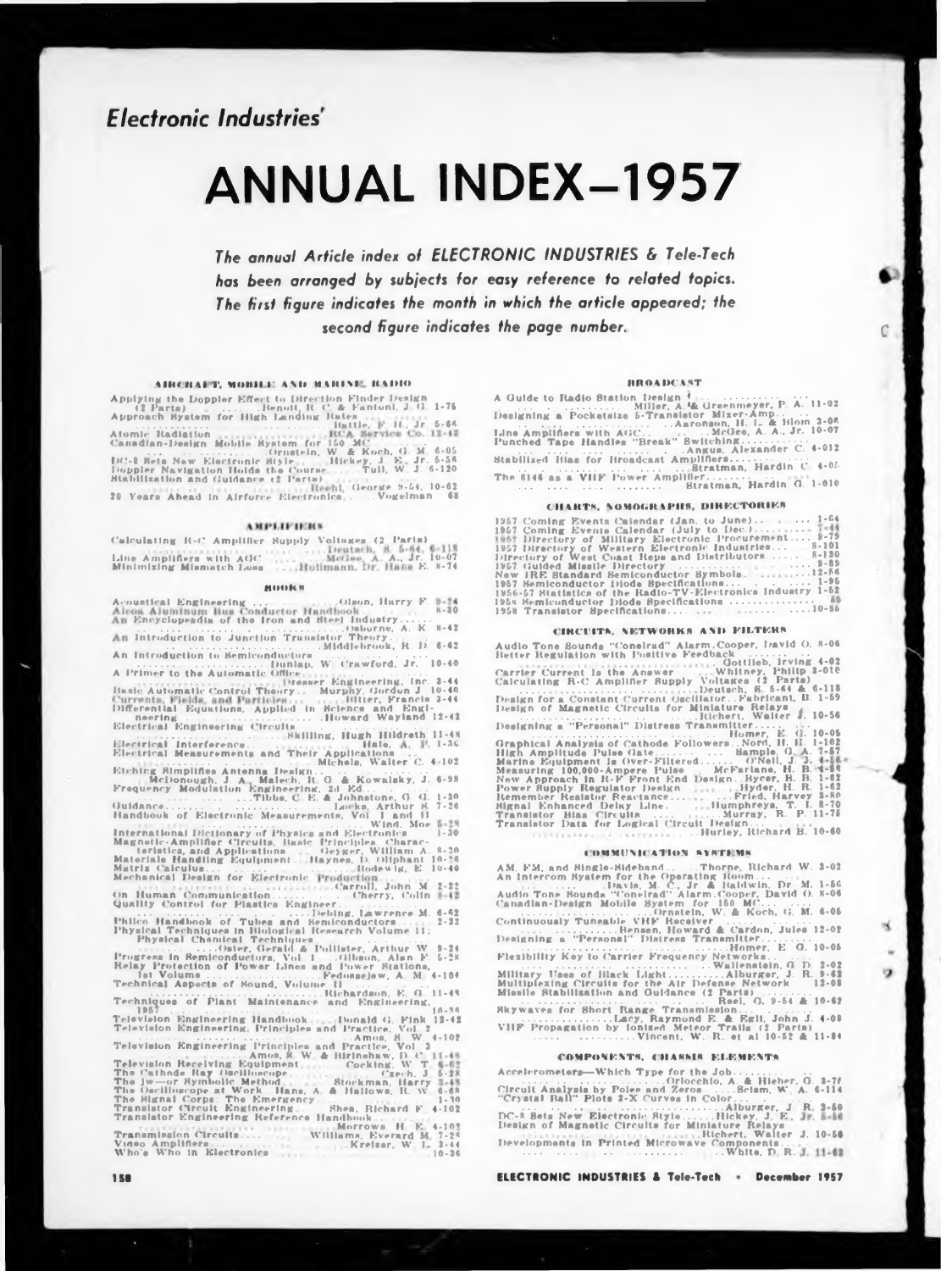## **Electronic Industries'**

# **ANNUAL INDEX-1957**

The annual Article index of ELECTRONIC INDUSTRIES & Tele-Tech has been arranged by subjects for easy reference to related topics. The first figure indicates the month in which the article appeared; the second figure indicates the page number.

#### AIRCRAFT, MOBILE AND MARINE, RADIO

**ADECRAPT, MOBILE AND MARINE ISSING**<br>
Applying the Doppler Effect to Direction Finder Denign<br>
(2 Parts)<br>
Approach Hystem for High Landing Reates.<br>
High Landing Battle,<br>
High Landing Battle,<br>
High Battle,<br>
Contract Co. 1-4

#### **AMPLIFIERS**

#### **RUDERS**

Acoustical Engineering<br>
Alcoa Alwinianus Conductor Handbook<br>
An Encyclopeadia of the Iron and Steel Industry.......<br>
An Introduction to Junction Translator Theory... (b)<br>
An Introduction to Junction Translator Theory... E. An Introduction to Semiconductors An Introduction to Semiconductors<br>
A Primer to the Automatic Office,<br>
A Primer to the Automatic Office,<br>
Denser Engineering, Inc. 3-44<br>
Haste Automatic Control Theory Murphy, Gordon J. 10-40<br>
Differential Equations, Applie

Electrical Measurements and Their Appinson<br>
Electrical Measurements and Their Appinson<br>
Michels, Walter C. 4-10z<br>
Etching Bimplings Antonna Desikn, M. C. & Kowaisky, J. 6-98<br>
Frequency Modulation Spaties, 2018<br>
Particular

Quality Control for Finite .... Debling, Lawrence M. 6-62<br>
Physical Techniques in Blook of Tubes and Semiconductors...<br>
Physical Chemical Techniques in Blookies Research Volume 11:<br>
Physical Chemical Techniques in Semicon

Techniques of Plant Maintenance and Engineering<br>
1957<br>
Television Engineering Handbook - Donald G. Fink 13-42<br>
Television Engineering Principles and Practice, Vol. 2<br>
Television Registrering Principles and Practice, Vol.

### **BROADCAST**

Biratman, Hardin C 4-05 The 6146 as a VHF Power Amplifier Stratman, Hardin G. 1-010

#### **CHARTS, NOMOGRAPHS, DIRECTORIES**

| 1957 Directory of Military Electronic Procurement 9-79       |
|--------------------------------------------------------------|
| 1957 Directory of Western Electronic Industries 8-101        |
| Directory of West Coast Reps and Distributors 8-130          |
|                                                              |
| New IRE Standard Semiconductor Symbols. 12-56                |
| 1957 Hemiconductor Diode Bpecifications 1-95                 |
| 1956-57 Statistics of the Radio-TV-Electronics Industry 1-52 |
|                                                              |
|                                                              |

#### CIRCUITS, NETWORKS AND FILTERS

#### COMMUNICATION SYSTEMS

Rkywaves for Short Range Transmission...<br>VHF Propagation by Ionised R. & Egli, John J. 4-08<br>VHF Propagation by Ionised Meteor Trails (2 Parts)<br>Vincent, W. R. et al. 10-52 & 11-84 COMPONENTS, CHASSES ELEMENTS

ELECTRONIC INDUSTRIES & Tele-Tech . December 1957

 $\mathcal{C}$ 

×

o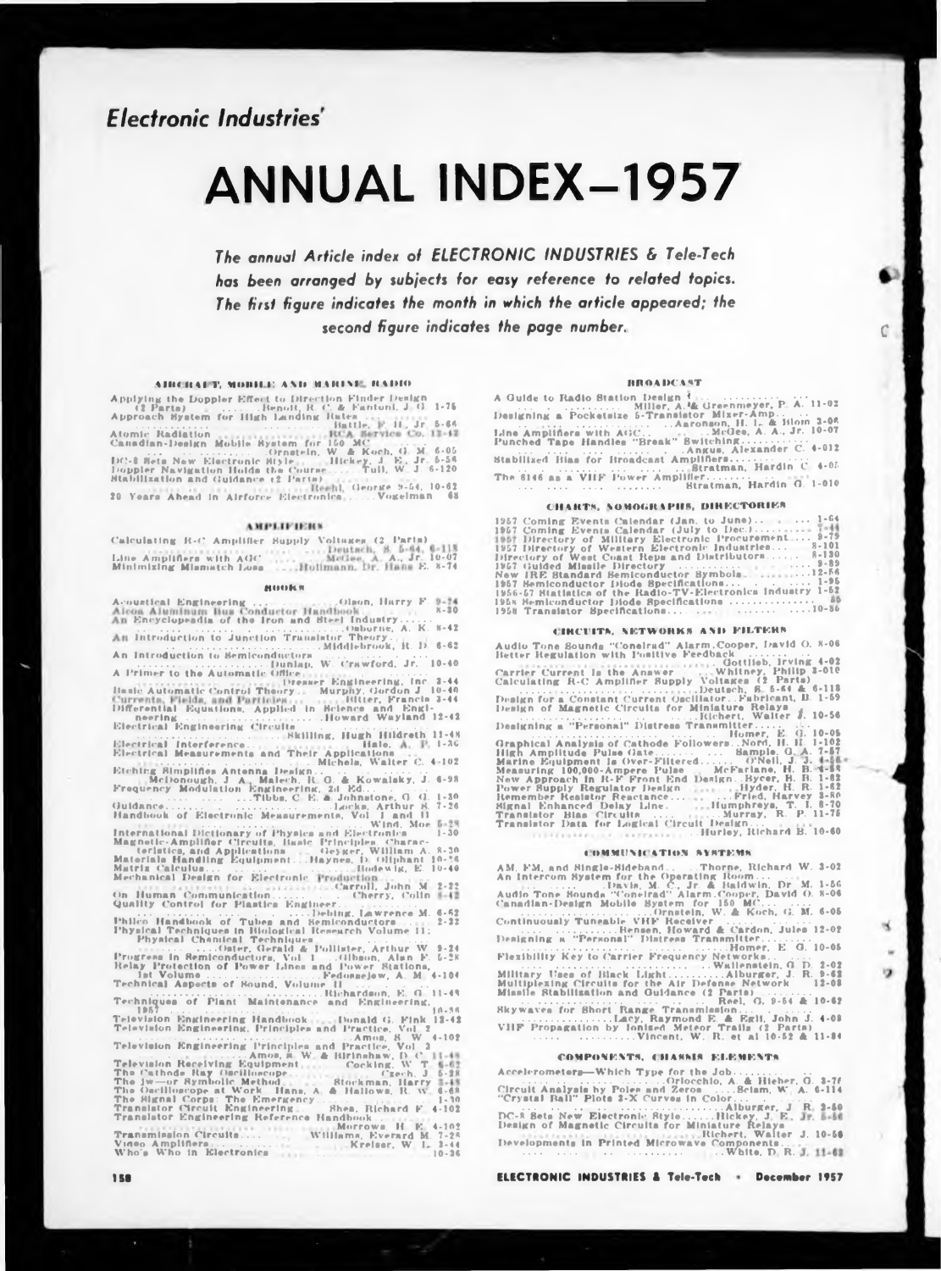## **Electronic Industries**

# **ANNUAL INDEX-1957**

The annual Article index of ELECTRONIC INDUSTRIES & Tele-Tech has been arranged by subjects for easy reference to related topics. The first figure indicates the month in which the article appeared; the second figure indicates the page number.

#### АНЕСКАРТ, МОНИЛ: АND МАВИМЕ, ВАНЮ

**ADECITAT T, MOBEL AND MARINE RADIO (APPLYING THE DOPPLET CONDUCTS)**<br>
Applying the Doppler Effect to Direction Finder.<br> **Approach System for High Landing Ration.** Hence,  $\frac{11}{11}$ , Jr. 5-66<br>
Atomic Radiation Hobile Ryst

#### **AMPLIFIERS**

#### **RUDERS**

Acoustical Engineering<br>
Alcoa Alumnianus Conductor Handbook<br>
Also Alumnianus Conductor Handbook<br>
Alumnianus Conduction (1994)<br>
Alumnianus Conduction Translation Translation Theory<br>
Middlebrook, R. D. 6-62 An Introduction to Semiconductors

An Introduction to Semiconductors<br>
A Primer to the Automatic Office,<br>
A Primer to the Automatic Office,<br>
Theory. Murphy, Gordon J. 10-40<br>
Inste Automatic Control Theory. Murphy, Gordon J. 10-40<br>
Differential Equations, App 

Electrical Measurements and Their Application Walter C. 4-102<br>
Electrical Measurements and Their A.<br>
Melonough, J. A. Malech, R. O. & Kowalsky, J. 4-98<br>
Frequency Modulation Engineering, 2d Ed...<br>
Tibba, C. E. A. Johnston

Quality Control for Finality and September 2.22<br>
Philips, Lawrence M. 6-62<br>
Physical Techniques in Biological Research Volume 11:<br>
Physical Chenical Techniques in Biological Research Volume 11:<br>
Physical Chenical Techniqu

Techniques of Plant Maintenance and Engineering,  $18.5$ <br>
Television Engineering Handbook ... Donald G. Fink 13-42<br>
Television Engineering Handbook ... Amon. 8, W 4-102<br>
Television Engineering Principles and Practice, Vol.

#### **BROADCAST**

Biratman, Hardin C 4-05 The 6146 as a VIIF Power Amplifier Stratman, Hardin G. 1-010

#### **CHARTS, NONOGRAPHS, DIRECTORIES**

| 1957 Coming Events Calendar (Jan. to June) 1-64              |
|--------------------------------------------------------------|
|                                                              |
| 1957 Directory of Military Electronic Procurement 9-79       |
| 1957 Directory of Western Electronic Industries 8-101        |
| Directory of West Coast Reps and Distributors 8-130          |
|                                                              |
| New IRE Standard Semiconductor Symbols. 12-56                |
| 1957 Hemiconductor Diode Bpecifications 1-95                 |
| 1956-57 Statistics of the Radio-TV-Electronics industry 1-52 |
|                                                              |
|                                                              |

#### CIRCUITS, NETWORKS AND FILTERS

#### COMMUNICATION SYSTEMS

COMMUNICATION SYMPENS<br>
AM. FM. and Single-Bideband.......Thorne, Richard W. 3-02<br>
An Intercom System for the Operating Room...<br>
David Conelrad'' Alarm.Cooper, David O. 8-06<br>
Audio Tone Sounda "Conelrad" Alarm.Cooper, David Skywaves for Short Range Transmission...<br>VHF Propagation by Ionised R. & Egil, John J. 4-08<br>VHF Propagation by Ionised Meteor Trails (2 Parts)<br>Vincent, W. R. et al 10-52 & 11-84 COMPONENTS, CHASSES ELEMENTS

COMPONENTS, UTIANISM CONCIDENTS, CONSIDERATION (CONTROL)<br>Cristian Ball" Plots 3-N Cristian Control Control Control Control Control Control Control Control Control Control Control Control Control Control Control Control Con 

ELECTRONIC INDUSTRIES & Tele-Tech . December 1957

 $\mathcal{C}$ 

×

o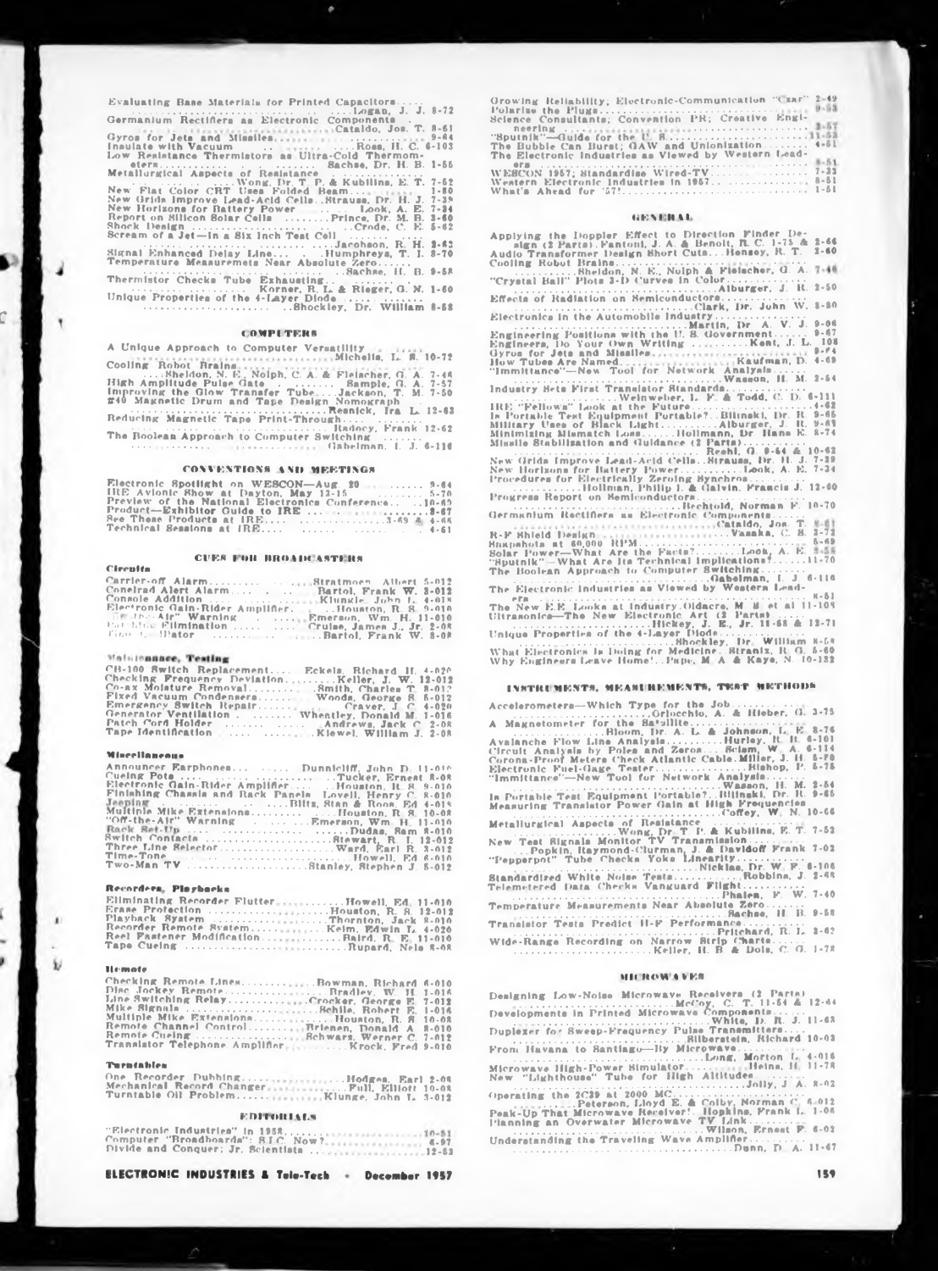Evaluating Base Materials for Printed Capacitors.....

| Germanium Rectifiers as Electronic Components.                            |          |
|---------------------------------------------------------------------------|----------|
| The D. Hammer Cataldo, Jon. T. 8-61                                       |          |
|                                                                           |          |
| Insulate with Vacuum  Ross, H.C. 6-103                                    |          |
| Low Resistance Thermistors as Ultra-Cold Thermom-                         |          |
|                                                                           |          |
|                                                                           |          |
|                                                                           |          |
| $\ldots$ $\ldots$ $\ldots$ $\ldots$ Wong Dr. T. P. & Kubiling, E. T. 7-62 |          |
|                                                                           |          |
| New Grids Improve Lead-Acid CellsStrauss, Dr. H. J.                       | $7 - 39$ |
| New Horizons for Battery Power  Look, A. E.                               | $7 - 34$ |
| Report on Silicon Bolar Cells  Prince, Dr. M. B.                          | $3 - 60$ |
| Shock Design Crode, C. E. 5-62                                            |          |
| Scream of a Jet-In a Six Inch Test Cell $\ldots \ldots \ldots$            |          |
| Janohson, R. H. 2-63                                                      |          |
| Signal Enhanced Delay Line Humphreys, T. J. 8-70                          |          |
| Temperature Measuremets Near Absolute Zero                                |          |
|                                                                           |          |
| Thermistor Checks Tube Exhausting                                         |          |
| Korner, R. L. & Rieger, G. N. 1-60                                        |          |
| Unique Properties of the 4-Layer Dinde                                    |          |
| Bhockley, Dr. William 8-58                                                |          |
|                                                                           |          |
|                                                                           |          |

#### **COMPETERS**

A Unique Approach to Computer Versatility<br>Michelia, L. S. 10-72

Gabelman, L. J. 6-116

#### **CONVENTIONS AND MEETINGS**

| Electronic Spotlight on WESCON-Aug. 20  3-64        |  |  |  |  |  |  |  |
|-----------------------------------------------------|--|--|--|--|--|--|--|
| IRE Avionic Show at Dayton, May 12-15  5-70         |  |  |  |  |  |  |  |
| Preview of the National Electronics Conference10-69 |  |  |  |  |  |  |  |
|                                                     |  |  |  |  |  |  |  |
| See These Products at IRE 3-69 & 4-66               |  |  |  |  |  |  |  |
|                                                     |  |  |  |  |  |  |  |

#### **CUES FOR BROADCASTERS**

| Carrier-off AlarmStratmoen. Albert 5-012.             |  |
|-------------------------------------------------------|--|
| Conelrad Alert Alarm Bartol, Frank W. 3-012           |  |
|                                                       |  |
| Electronic Gain-Rider Amplifier. Houston, R. S. 9-010 |  |
| The the Air" Warning Emerson, Wm. H. 11-010           |  |
| Pat him. Elimination  Cruise, James J., Jr. 2-08      |  |
|                                                       |  |

#### Walstennnee, Testing

| CB-100 Switch Replacement Eckels. Richard H. 4-020. |
|-----------------------------------------------------|
| Checking Prequency DeviationKeller, J. W. 12-012    |
| Co-ax Molature Removal Smith, Charles T. 8-012      |
| Fixed Vacuum Condensers Woods, George S. 5-012      |
|                                                     |
| Generator Ventilation Wheatley, Donald M. 1-016     |
| Patch Cord Holder   Andrews, Jack C 2-08            |
|                                                     |

#### Miscellaneous

Circuita

| Announcer Earphones  Dunnicliff, John D. 11-016          |
|----------------------------------------------------------|
| Cuelng Pota    Tucker, Ernest R-08                       |
| Electronic Gain-Rider Amplifier  Houston, It. 8. 9-010   |
| Finishing Chassis and Rack Panels Lovell, Henry C. 8-010 |
| Jeeping Blits, Stan & Roos. Ed 4-019                     |
|                                                          |
| "Off-the-Air" Warning  Emerson, Wm H. 11-010             |
| Rack Ret-Up   Dudas, Ram 8-010                           |
| Switch Contacts Stewart, R. J. 12-012                    |
|                                                          |
| Time-Tone    Howell, Ed 6-010                            |
| Two-Man TV Stanley, Stephen J. 5-012                     |

#### Recorders, Playbacks

| Erase Protection Houston, R. S. 12-012         |  |
|------------------------------------------------|--|
| Playback System Thornton, Jack 8-010           |  |
|                                                |  |
| Reel Fastener ModificationBaird. R. E. 11-010. |  |
| Tape Cueing Rupard, Nels 8-68                  |  |

#### **Blomato**

Ω

| Checking Remote LinesBowman, Richard 6-010      |  |
|-------------------------------------------------|--|
| Disc Jockey RemoteRradlev, W. H. 1-016          |  |
| Line Switching RelayCrocker, George E. 7-012    |  |
|                                                 |  |
| Multiple Mike ExtensionsHouston, R. S. 10-08    |  |
| Remote Channel Control Brienen, Donald A. 8-010 |  |
|                                                 |  |
|                                                 |  |

#### **Turntables**

One Record<br>Mechanical Recorder Dubbing. 

**EDITORIALS** 

| $\sim$ Electronic industries in 1958, , |          |
|-----------------------------------------|----------|
| Computer "Broadboards": SIC. Now?       | $6 - 97$ |
| Divide and Conquer: Jr. Scientista.     | 10.0     |

ELECTRONIC INDUSTRIES & Tele-Tech + December 1957

 $3 - 57$  $4 - 61$ ers<br>
WESCON 1957; Blandardine Wired-TV<br>
Western Electronic Industries in 1957.<br>
Western Electronic Industries in 1957.

#### **GEORGIORAE**

Applying the Doppler Effect to Direction Finder Der algn (2 Parts). Fantoni, J. A. & Benoit, R. C. 1-75 & 2-66<br>Audio Transformer Design Short Cuta...Hensey, R. T. 2-60<br>Cooling Robot Brains................................. **EXECUTE IN A POSTAGE OF A PARTICULAR CONSTRAINS CO. S. 3-72<br>
BEAD AT A POWER-HOWEV AND REVENUES ON A PARTICULAR AT A PARTICULAR AND A POWER-POWER-POWER-POWER-POWER TO THE RESIDENT OF THE BUCKLE THE ELECTION COMPUTER SURF** The New E.E. Looks at Industry Oldacre, M. B. et al. 11-108<br>
The New E.E. Looks at Industry Oldacre, M. B. et al. 11-108<br>
Ultranonica-The New Electronic Art (2 Parts)<br>
Unique Properties of the 4-layer Diode.<br>
What Electron

#### INSTRUMENTS, MEASUREMENTS, TEST METHODS

A Magnetonicity (Moreonto, A. & Hieber, G. 3-75)<br>A Magnetonicity (Moom, Dr. A. L. & Johnson, L. E. 8-76)<br>Avalanche Plow Line Analysis............Hurley, R. H. 6-101<br>Circuit Analysis by Poles and Zeros.....................

In Portable Test Equipment Portable?...Wasson, H. M. 2-54<br>Measuring Transistor Power Gain at High Prequencies<br>Metallurgical Aspects of Resistance....Coffey, W. N. 10-66

Metallurgical Aspects of Resistance Coffey, W. N. 10-66<br>New York, Dr. T. P. & Kubilins, P. T. 7-52<br>New York, Resistance Corporation Communication<br>"Pepperpot" Tube Checks Yoke Linearity. 

#### **MICROWAVES**

Designing Low-Noise Microwave Receivers (2 Parts)<br>Developments in Printed Microwave Components ... 1.1-54<br>Duplexer for Sweep-Frequency Pulse Transmitters....<br>Duplexer for Sweep-Frequency Pulse Transmitters.....<br>Development .Dunn, D. A. 11-47